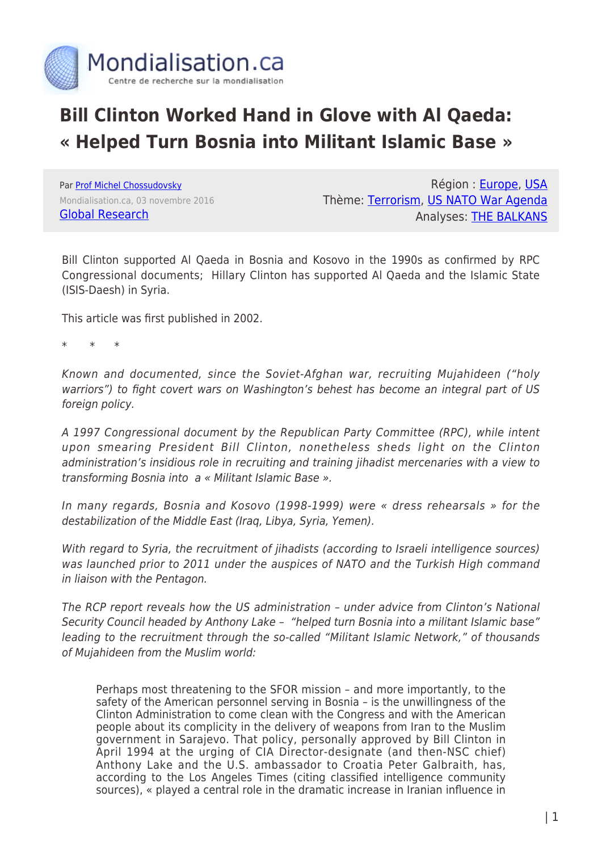

# **Bill Clinton Worked Hand in Glove with Al Qaeda: « Helped Turn Bosnia into Militant Islamic Base »**

Par [Prof Michel Chossudovsky](https://www.mondialisation.ca/author/michel-chossudovsky) Mondialisation.ca, 03 novembre 2016 [Global Research](http://globalresearch.ca/articles/DCH109A.html)

Région : [Europe,](https://www.mondialisation.ca/region/europe) [USA](https://www.mondialisation.ca/region/usa) Thème: [Terrorism](https://www.mondialisation.ca/theme/9-11-war-on-terrorism), [US NATO War Agenda](https://www.mondialisation.ca/theme/us-nato-war-agenda) Analyses: [THE BALKANS](https://www.mondialisation.ca/indepthreport/the-balkans)

Bill Clinton supported Al Qaeda in Bosnia and Kosovo in the 1990s as confirmed by RPC Congressional documents; Hillary Clinton has supported Al Qaeda and the Islamic State (ISIS-Daesh) in Syria.

This article was first published in 2002.

\* \* \*

Known and documented, since the Soviet-Afghan war, recruiting Mujahideen ("holy warriors") to fight covert wars on Washington's behest has become an integral part of US foreign policy.

A 1997 Congressional document by the Republican Party Committee (RPC), while intent upon smearing President Bill Clinton, nonetheless sheds light on the Clinton administration's insidious role in recruiting and training jihadist mercenaries with a view to transforming Bosnia into a « Militant Islamic Base ».

In many regards, Bosnia and Kosovo (1998-1999) were « dress rehearsals » for the destabilization of the Middle East (Iraq, Libya, Syria, Yemen).

With regard to Syria, the recruitment of jihadists (according to Israeli intelligence sources) was launched prior to 2011 under the auspices of NATO and the Turkish High command in liaison with the Pentagon.

The RCP report reveals how the US administration – under advice from Clinton's National Security Council headed by Anthony Lake – "helped turn Bosnia into a militant Islamic base" leading to the recruitment through the so-called "Militant Islamic Network," of thousands of Mujahideen from the Muslim world:

Perhaps most threatening to the SFOR mission – and more importantly, to the safety of the American personnel serving in Bosnia – is the unwillingness of the Clinton Administration to come clean with the Congress and with the American people about its complicity in the delivery of weapons from Iran to the Muslim government in Sarajevo. That policy, personally approved by Bill Clinton in April 1994 at the urging of CIA Director-designate (and then-NSC chief) Anthony Lake and the U.S. ambassador to Croatia Peter Galbraith, has, according to the Los Angeles Times (citing classified intelligence community sources), « played a central role in the dramatic increase in Iranian influence in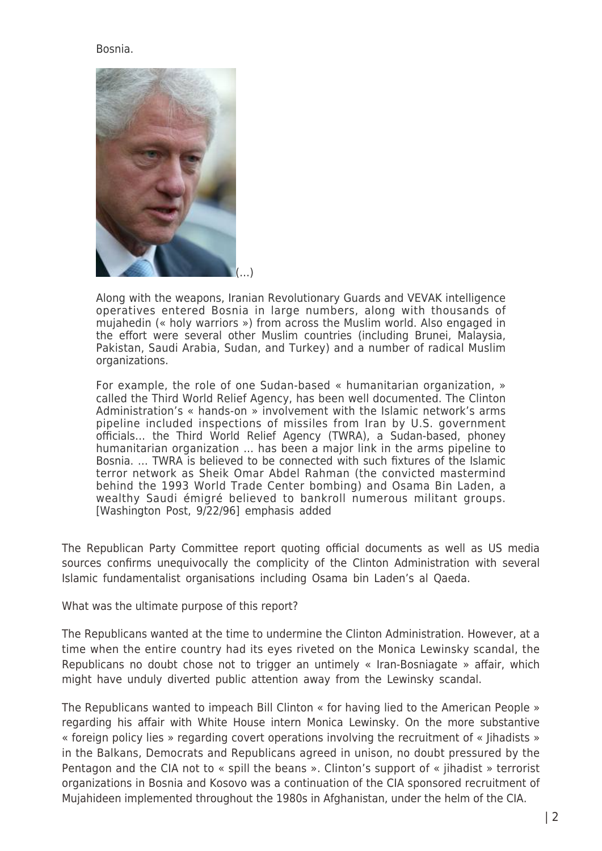#### Bosnia.



Along with the weapons, Iranian Revolutionary Guards and VEVAK intelligence operatives entered Bosnia in large numbers, along with thousands of mujahedin (« holy warriors ») from across the Muslim world. Also engaged in the effort were several other Muslim countries (including Brunei, Malaysia, Pakistan, Saudi Arabia, Sudan, and Turkey) and a number of radical Muslim organizations.

For example, the role of one Sudan-based « humanitarian organization, » called the Third World Relief Agency, has been well documented. The Clinton Administration's « hands-on » involvement with the Islamic network's arms pipeline included inspections of missiles from Iran by U.S. government officials… the Third World Relief Agency (TWRA), a Sudan-based, phoney humanitarian organization ... has been a major link in the arms pipeline to Bosnia. … TWRA is believed to be connected with such fixtures of the Islamic terror network as Sheik Omar Abdel Rahman (the convicted mastermind behind the 1993 World Trade Center bombing) and Osama Bin Laden, a wealthy Saudi émigré believed to bankroll numerous militant groups. [Washington Post, 9/22/96] emphasis added

The Republican Party Committee report quoting official documents as well as US media sources confirms unequivocally the complicity of the Clinton Administration with several Islamic fundamentalist organisations including Osama bin Laden's al Qaeda.

What was the ultimate purpose of this report?

The Republicans wanted at the time to undermine the Clinton Administration. However, at a time when the entire country had its eyes riveted on the Monica Lewinsky scandal, the Republicans no doubt chose not to trigger an untimely « Iran-Bosniagate » affair, which might have unduly diverted public attention away from the Lewinsky scandal.

The Republicans wanted to impeach Bill Clinton « for having lied to the American People » regarding his affair with White House intern Monica Lewinsky. On the more substantive « foreign policy lies » regarding covert operations involving the recruitment of « Jihadists » in the Balkans, Democrats and Republicans agreed in unison, no doubt pressured by the Pentagon and the CIA not to « spill the beans ». Clinton's support of « jihadist » terrorist organizations in Bosnia and Kosovo was a continuation of the CIA sponsored recruitment of Mujahideen implemented throughout the 1980s in Afghanistan, under the helm of the CIA.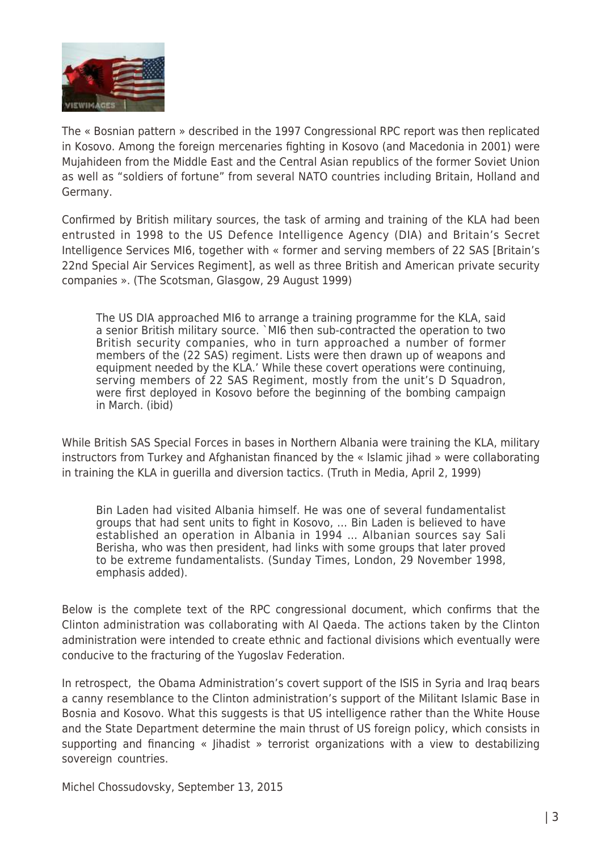

The « Bosnian pattern » described in the 1997 Congressional RPC report was then replicated in Kosovo. Among the foreign mercenaries fighting in Kosovo (and Macedonia in 2001) were Mujahideen from the Middle East and the Central Asian republics of the former Soviet Union as well as "soldiers of fortune" from several NATO countries including Britain, Holland and Germany.

Confirmed by British military sources, the task of arming and training of the KLA had been entrusted in 1998 to the US Defence Intelligence Agency (DIA) and Britain's Secret Intelligence Services MI6, together with « former and serving members of 22 SAS [Britain's 22nd Special Air Services Regiment], as well as three British and American private security companies ». (The Scotsman, Glasgow, 29 August 1999)

The US DIA approached MI6 to arrange a training programme for the KLA, said a senior British military source. `MI6 then sub-contracted the operation to two British security companies, who in turn approached a number of former members of the (22 SAS) regiment. Lists were then drawn up of weapons and equipment needed by the KLA.' While these covert operations were continuing, serving members of 22 SAS Regiment, mostly from the unit's D Squadron, were first deployed in Kosovo before the beginning of the bombing campaign in March. (ibid)

While British SAS Special Forces in bases in Northern Albania were training the KLA, military instructors from Turkey and Afghanistan financed by the « Islamic jihad » were collaborating in training the KLA in guerilla and diversion tactics. (Truth in Media, April 2, 1999)

Bin Laden had visited Albania himself. He was one of several fundamentalist groups that had sent units to fight in Kosovo, … Bin Laden is believed to have established an operation in Albania in 1994 … Albanian sources say Sali Berisha, who was then president, had links with some groups that later proved to be extreme fundamentalists. (Sunday Times, London, 29 November 1998, emphasis added).

Below is the complete text of the RPC congressional document, which confirms that the Clinton administration was collaborating with Al Qaeda. The actions taken by the Clinton administration were intended to create ethnic and factional divisions which eventually were conducive to the fracturing of the Yugoslav Federation.

In retrospect, the Obama Administration's covert support of the ISIS in Syria and Iraq bears a canny resemblance to the Clinton administration's support of the Militant Islamic Base in Bosnia and Kosovo. What this suggests is that US intelligence rather than the White House and the State Department determine the main thrust of US foreign policy, which consists in supporting and financing « Jihadist » terrorist organizations with a view to destabilizing sovereign countries.

Michel Chossudovsky, September 13, 2015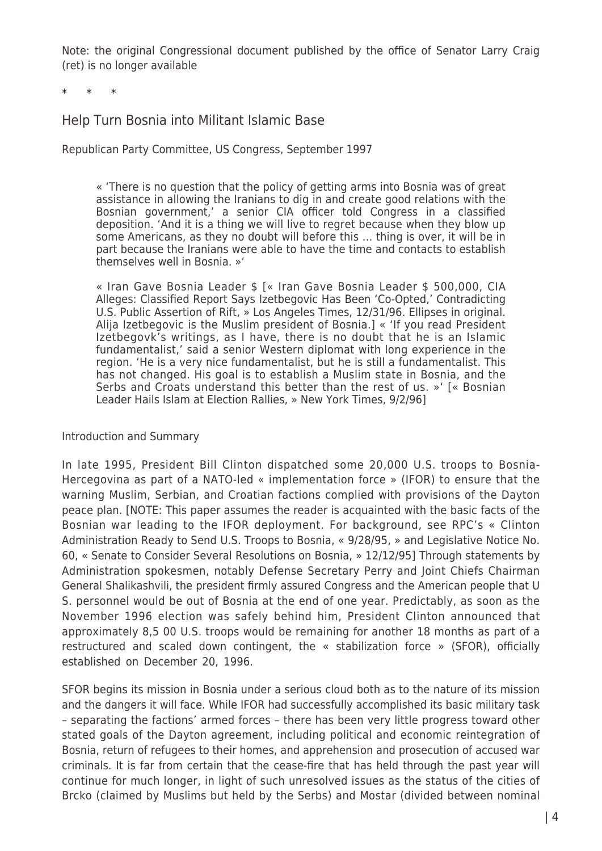Note: the original Congressional document published by the office of Senator Larry Craig (ret) is no longer available

\* \* \*

# Help Turn Bosnia into Militant Islamic Base

Republican Party Committee, US Congress, September 1997

« 'There is no question that the policy of getting arms into Bosnia was of great assistance in allowing the Iranians to dig in and create good relations with the Bosnian government,' a senior CIA officer told Congress in a classified deposition. 'And it is a thing we will live to regret because when they blow up some Americans, as they no doubt will before this … thing is over, it will be in part because the Iranians were able to have the time and contacts to establish themselves well in Bosnia. »'

« Iran Gave Bosnia Leader \$ [« Iran Gave Bosnia Leader \$ 500,000, CIA Alleges: Classified Report Says Izetbegovic Has Been 'Co-Opted,' Contradicting U.S. Public Assertion of Rift, » Los Angeles Times, 12/31/96. Ellipses in original. Alija Izetbegovic is the Muslim president of Bosnia.] « 'If you read President Izetbegovk's writings, as I have, there is no doubt that he is an Islamic fundamentalist,' said a senior Western diplomat with long experience in the region. 'He is a very nice fundamentalist, but he is still a fundamentalist. This has not changed. His goal is to establish a Muslim state in Bosnia, and the Serbs and Croats understand this better than the rest of us. »' [« Bosnian Leader Hails Islam at Election Rallies, » New York Times, 9/2/96]

#### Introduction and Summary

In late 1995, President Bill Clinton dispatched some 20,000 U.S. troops to Bosnia-Hercegovina as part of a NATO-led « implementation force » (IFOR) to ensure that the warning Muslim, Serbian, and Croatian factions complied with provisions of the Dayton peace plan. [NOTE: This paper assumes the reader is acquainted with the basic facts of the Bosnian war leading to the IFOR deployment. For background, see RPC's « Clinton Administration Ready to Send U.S. Troops to Bosnia, « 9/28/95, » and Legislative Notice No. 60, « Senate to Consider Several Resolutions on Bosnia, » 12/12/95] Through statements by Administration spokesmen, notably Defense Secretary Perry and Joint Chiefs Chairman General Shalikashvili, the president firmly assured Congress and the American people that U S. personnel would be out of Bosnia at the end of one year. Predictably, as soon as the November 1996 election was safely behind him, President Clinton announced that approximately 8,5 00 U.S. troops would be remaining for another 18 months as part of a restructured and scaled down contingent, the « stabilization force » (SFOR), officially established on December 20, 1996.

SFOR begins its mission in Bosnia under a serious cloud both as to the nature of its mission and the dangers it will face. While IFOR had successfully accomplished its basic military task – separating the factions' armed forces – there has been very little progress toward other stated goals of the Dayton agreement, including political and economic reintegration of Bosnia, return of refugees to their homes, and apprehension and prosecution of accused war criminals. It is far from certain that the cease-fire that has held through the past year will continue for much longer, in light of such unresolved issues as the status of the cities of Brcko (claimed by Muslims but held by the Serbs) and Mostar (divided between nominal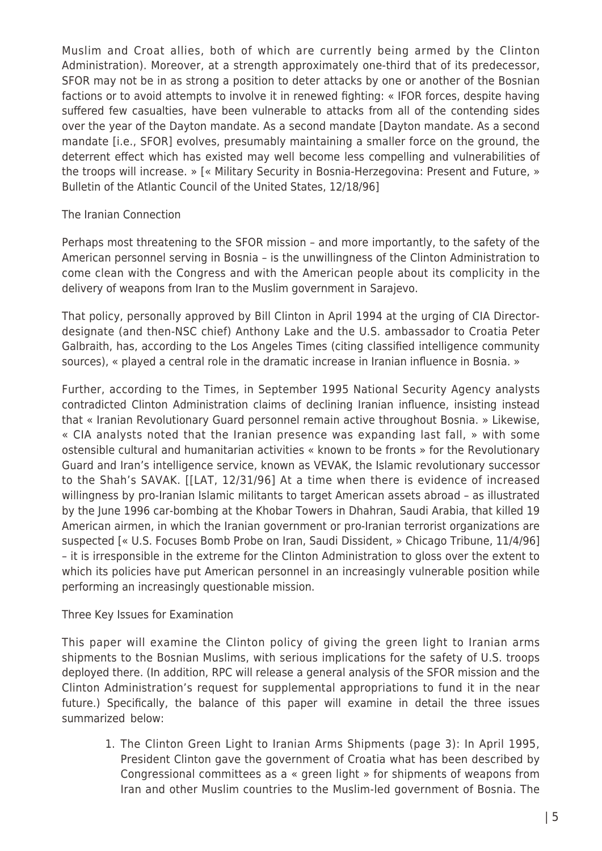Muslim and Croat allies, both of which are currently being armed by the Clinton Administration). Moreover, at a strength approximately one-third that of its predecessor, SFOR may not be in as strong a position to deter attacks by one or another of the Bosnian factions or to avoid attempts to involve it in renewed fighting: « IFOR forces, despite having suffered few casualties, have been vulnerable to attacks from all of the contending sides over the year of the Dayton mandate. As a second mandate [Dayton mandate. As a second mandate [i.e., SFOR] evolves, presumably maintaining a smaller force on the ground, the deterrent effect which has existed may well become less compelling and vulnerabilities of the troops will increase. » [« Military Security in Bosnia-Herzegovina: Present and Future, » Bulletin of the Atlantic Council of the United States, 12/18/96]

# The Iranian Connection

Perhaps most threatening to the SFOR mission – and more importantly, to the safety of the American personnel serving in Bosnia – is the unwillingness of the Clinton Administration to come clean with the Congress and with the American people about its complicity in the delivery of weapons from Iran to the Muslim government in Sarajevo.

That policy, personally approved by Bill Clinton in April 1994 at the urging of CIA Directordesignate (and then-NSC chief) Anthony Lake and the U.S. ambassador to Croatia Peter Galbraith, has, according to the Los Angeles Times (citing classified intelligence community sources), « played a central role in the dramatic increase in Iranian influence in Bosnia. »

Further, according to the Times, in September 1995 National Security Agency analysts contradicted Clinton Administration claims of declining Iranian influence, insisting instead that « Iranian Revolutionary Guard personnel remain active throughout Bosnia. » Likewise, « CIA analysts noted that the Iranian presence was expanding last fall, » with some ostensible cultural and humanitarian activities « known to be fronts » for the Revolutionary Guard and Iran's intelligence service, known as VEVAK, the Islamic revolutionary successor to the Shah's SAVAK. [[LAT, 12/31/96] At a time when there is evidence of increased willingness by pro-Iranian Islamic militants to target American assets abroad – as illustrated by the June 1996 car-bombing at the Khobar Towers in Dhahran, Saudi Arabia, that killed 19 American airmen, in which the Iranian government or pro-Iranian terrorist organizations are suspected [« U.S. Focuses Bomb Probe on Iran, Saudi Dissident, » Chicago Tribune, 11/4/96] – it is irresponsible in the extreme for the Clinton Administration to gloss over the extent to which its policies have put American personnel in an increasingly vulnerable position while performing an increasingly questionable mission.

# Three Key Issues for Examination

This paper will examine the Clinton policy of giving the green light to Iranian arms shipments to the Bosnian Muslims, with serious implications for the safety of U.S. troops deployed there. (In addition, RPC will release a general analysis of the SFOR mission and the Clinton Administration's request for supplemental appropriations to fund it in the near future.) Specifically, the balance of this paper will examine in detail the three issues summarized below:

1. The Clinton Green Light to Iranian Arms Shipments (page 3): In April 1995, President Clinton gave the government of Croatia what has been described by Congressional committees as a « green light » for shipments of weapons from Iran and other Muslim countries to the Muslim-led government of Bosnia. The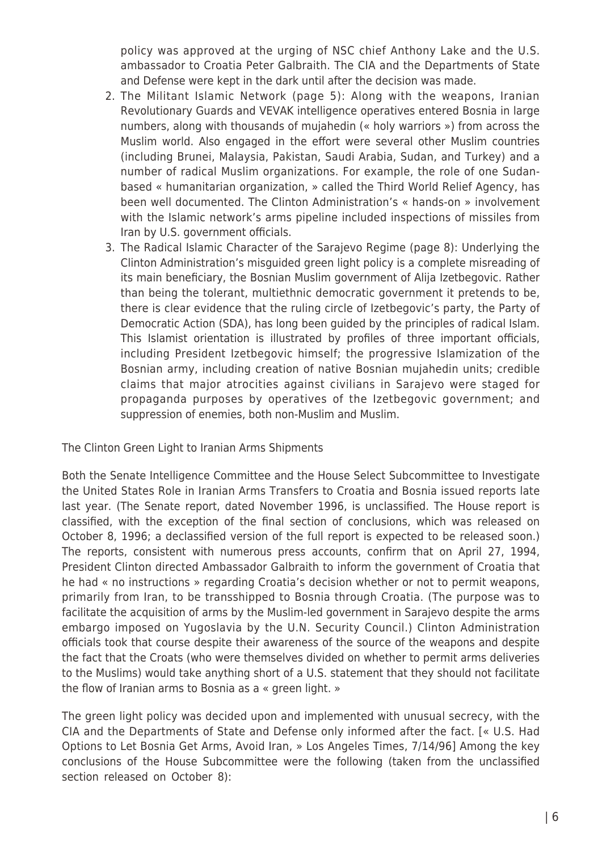policy was approved at the urging of NSC chief Anthony Lake and the U.S. ambassador to Croatia Peter Galbraith. The CIA and the Departments of State and Defense were kept in the dark until after the decision was made.

- 2. The Militant Islamic Network (page 5): Along with the weapons, Iranian Revolutionary Guards and VEVAK intelligence operatives entered Bosnia in large numbers, along with thousands of mujahedin (« holy warriors ») from across the Muslim world. Also engaged in the effort were several other Muslim countries (including Brunei, Malaysia, Pakistan, Saudi Arabia, Sudan, and Turkey) and a number of radical Muslim organizations. For example, the role of one Sudanbased « humanitarian organization, » called the Third World Relief Agency, has been well documented. The Clinton Administration's « hands-on » involvement with the Islamic network's arms pipeline included inspections of missiles from Iran by U.S. government officials.
- 3. The Radical Islamic Character of the Sarajevo Regime (page 8): Underlying the Clinton Administration's misguided green light policy is a complete misreading of its main beneficiary, the Bosnian Muslim government of Alija Izetbegovic. Rather than being the tolerant, multiethnic democratic government it pretends to be, there is clear evidence that the ruling circle of Izetbegovic's party, the Party of Democratic Action (SDA), has long been guided by the principles of radical Islam. This Islamist orientation is illustrated by profiles of three important officials, including President Izetbegovic himself; the progressive Islamization of the Bosnian army, including creation of native Bosnian mujahedin units; credible claims that major atrocities against civilians in Sarajevo were staged for propaganda purposes by operatives of the Izetbegovic government; and suppression of enemies, both non-Muslim and Muslim.

The Clinton Green Light to Iranian Arms Shipments

Both the Senate Intelligence Committee and the House Select Subcommittee to Investigate the United States Role in Iranian Arms Transfers to Croatia and Bosnia issued reports late last year. (The Senate report, dated November 1996, is unclassified. The House report is classified, with the exception of the final section of conclusions, which was released on October 8, 1996; a declassified version of the full report is expected to be released soon.) The reports, consistent with numerous press accounts, confirm that on April 27, 1994, President Clinton directed Ambassador Galbraith to inform the government of Croatia that he had « no instructions » regarding Croatia's decision whether or not to permit weapons, primarily from Iran, to be transshipped to Bosnia through Croatia. (The purpose was to facilitate the acquisition of arms by the Muslim-led government in Sarajevo despite the arms embargo imposed on Yugoslavia by the U.N. Security Council.) Clinton Administration officials took that course despite their awareness of the source of the weapons and despite the fact that the Croats (who were themselves divided on whether to permit arms deliveries to the Muslims) would take anything short of a U.S. statement that they should not facilitate the flow of Iranian arms to Bosnia as a « green light. »

The green light policy was decided upon and implemented with unusual secrecy, with the CIA and the Departments of State and Defense only informed after the fact. [« U.S. Had Options to Let Bosnia Get Arms, Avoid Iran, » Los Angeles Times, 7/14/96] Among the key conclusions of the House Subcommittee were the following (taken from the unclassified section released on October 8):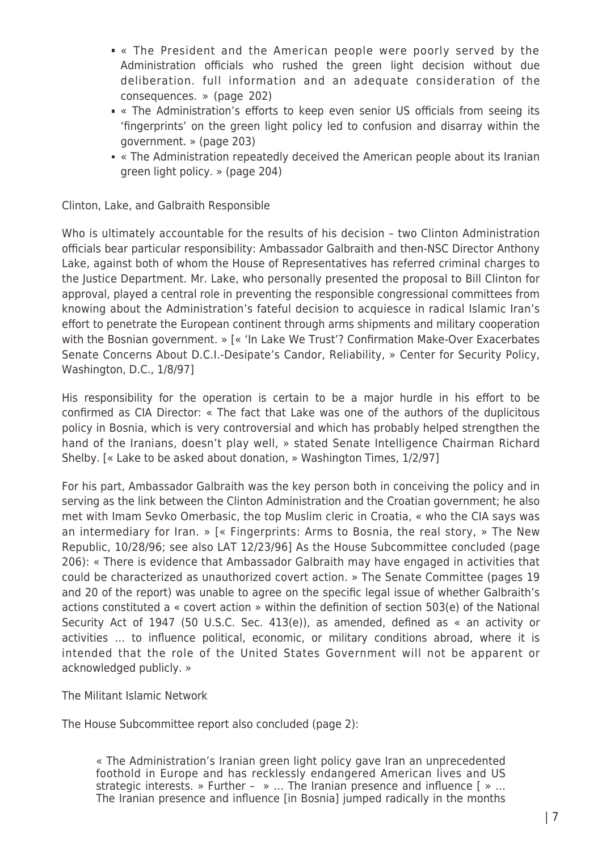- « The President and the American people were poorly served by the Administration officials who rushed the green light decision without due deliberation. full information and an adequate consideration of the consequences. » (page 202)
- « The Administration's efforts to keep even senior US officials from seeing its 'fingerprints' on the green light policy led to confusion and disarray within the government. » (page 203)
- « The Administration repeatedly deceived the American people about its Iranian green light policy. » (page 204)

Clinton, Lake, and Galbraith Responsible

Who is ultimately accountable for the results of his decision – two Clinton Administration officials bear particular responsibility: Ambassador Galbraith and then-NSC Director Anthony Lake, against both of whom the House of Representatives has referred criminal charges to the Justice Department. Mr. Lake, who personally presented the proposal to Bill Clinton for approval, played a central role in preventing the responsible congressional committees from knowing about the Administration's fateful decision to acquiesce in radical Islamic Iran's effort to penetrate the European continent through arms shipments and military cooperation with the Bosnian government. » [« 'In Lake We Trust'? Confirmation Make-Over Exacerbates Senate Concerns About D.C.I.-Desipate's Candor, Reliability, » Center for Security Policy, Washington, D.C., 1/8/97]

His responsibility for the operation is certain to be a major hurdle in his effort to be confirmed as CIA Director: « The fact that Lake was one of the authors of the duplicitous policy in Bosnia, which is very controversial and which has probably helped strengthen the hand of the Iranians, doesn't play well, » stated Senate Intelligence Chairman Richard Shelby. [« Lake to be asked about donation, » Washington Times, 1/2/97]

For his part, Ambassador Galbraith was the key person both in conceiving the policy and in serving as the link between the Clinton Administration and the Croatian government; he also met with Imam Sevko Omerbasic, the top Muslim cleric in Croatia, « who the CIA says was an intermediary for Iran. » [« Fingerprints: Arms to Bosnia, the real story, » The New Republic, 10/28/96; see also LAT 12/23/96] As the House Subcommittee concluded (page 206): « There is evidence that Ambassador Galbraith may have engaged in activities that could be characterized as unauthorized covert action. » The Senate Committee (pages 19 and 20 of the report) was unable to agree on the specific legal issue of whether Galbraith's actions constituted a « covert action » within the definition of section 503(e) of the National Security Act of 1947 (50 U.S.C. Sec. 413(e)), as amended, defined as « an activity or activities … to influence political, economic, or military conditions abroad, where it is intended that the role of the United States Government will not be apparent or acknowledged publicly. »

The Militant Islamic Network

The House Subcommittee report also concluded (page 2):

« The Administration's Iranian green light policy gave Iran an unprecedented foothold in Europe and has recklessly endangered American lives and US strategic interests. » Further – » … The Iranian presence and influence [ » … The Iranian presence and influence [in Bosnia] jumped radically in the months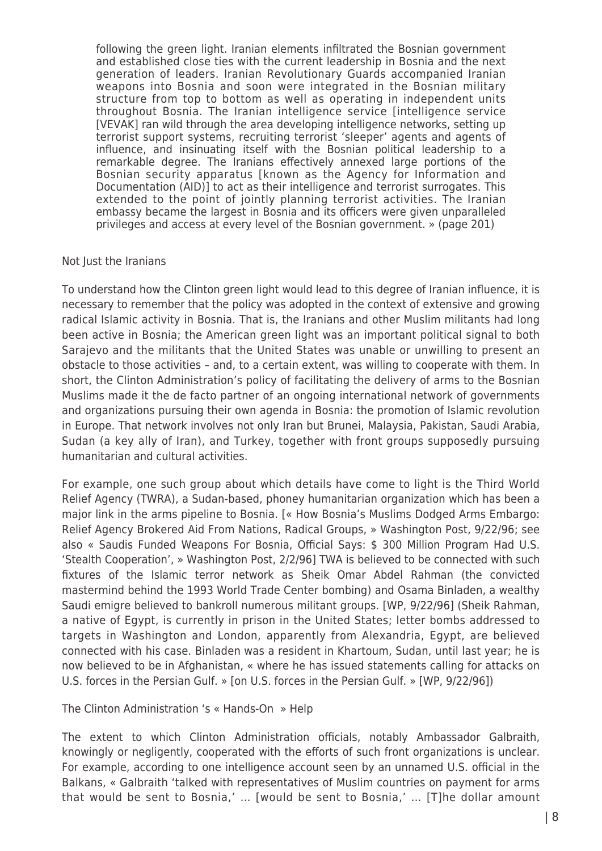following the green light. Iranian elements infiltrated the Bosnian government and established close ties with the current leadership in Bosnia and the next generation of leaders. Iranian Revolutionary Guards accompanied Iranian weapons into Bosnia and soon were integrated in the Bosnian military structure from top to bottom as well as operating in independent units throughout Bosnia. The Iranian intelligence service [intelligence service [VEVAK] ran wild through the area developing intelligence networks, setting up terrorist support systems, recruiting terrorist 'sleeper' agents and agents of influence, and insinuating itself with the Bosnian political leadership to a remarkable degree. The Iranians effectively annexed large portions of the Bosnian security apparatus [known as the Agency for Information and Documentation (AID)] to act as their intelligence and terrorist surrogates. This extended to the point of jointly planning terrorist activities. The Iranian embassy became the largest in Bosnia and its officers were given unparalleled privileges and access at every level of the Bosnian government. » (page 201)

#### Not Just the Iranians

To understand how the Clinton green light would lead to this degree of Iranian influence, it is necessary to remember that the policy was adopted in the context of extensive and growing radical Islamic activity in Bosnia. That is, the Iranians and other Muslim militants had long been active in Bosnia; the American green light was an important political signal to both Sarajevo and the militants that the United States was unable or unwilling to present an obstacle to those activities – and, to a certain extent, was willing to cooperate with them. In short, the Clinton Administration's policy of facilitating the delivery of arms to the Bosnian Muslims made it the de facto partner of an ongoing international network of governments and organizations pursuing their own agenda in Bosnia: the promotion of Islamic revolution in Europe. That network involves not only Iran but Brunei, Malaysia, Pakistan, Saudi Arabia, Sudan (a key ally of Iran), and Turkey, together with front groups supposedly pursuing humanitarian and cultural activities.

For example, one such group about which details have come to light is the Third World Relief Agency (TWRA), a Sudan-based, phoney humanitarian organization which has been a major link in the arms pipeline to Bosnia. [« How Bosnia's Muslims Dodged Arms Embargo: Relief Agency Brokered Aid From Nations, Radical Groups, » Washington Post, 9/22/96; see also « Saudis Funded Weapons For Bosnia, Official Says: \$ 300 Million Program Had U.S. 'Stealth Cooperation', » Washington Post, 2/2/96] TWA is believed to be connected with such fixtures of the Islamic terror network as Sheik Omar Abdel Rahman (the convicted mastermind behind the 1993 World Trade Center bombing) and Osama Binladen, a wealthy Saudi emigre believed to bankroll numerous militant groups. [WP, 9/22/96] (Sheik Rahman, a native of Egypt, is currently in prison in the United States; letter bombs addressed to targets in Washington and London, apparently from Alexandria, Egypt, are believed connected with his case. Binladen was a resident in Khartoum, Sudan, until last year; he is now believed to be in Afghanistan, « where he has issued statements calling for attacks on U.S. forces in the Persian Gulf. » [on U.S. forces in the Persian Gulf. » [WP, 9/22/96])

The Clinton Administration 's « Hands-On » Help

The extent to which Clinton Administration officials, notably Ambassador Galbraith, knowingly or negligently, cooperated with the efforts of such front organizations is unclear. For example, according to one intelligence account seen by an unnamed U.S. official in the Balkans, « Galbraith 'talked with representatives of Muslim countries on payment for arms that would be sent to Bosnia,' … [would be sent to Bosnia,' … [T]he dollar amount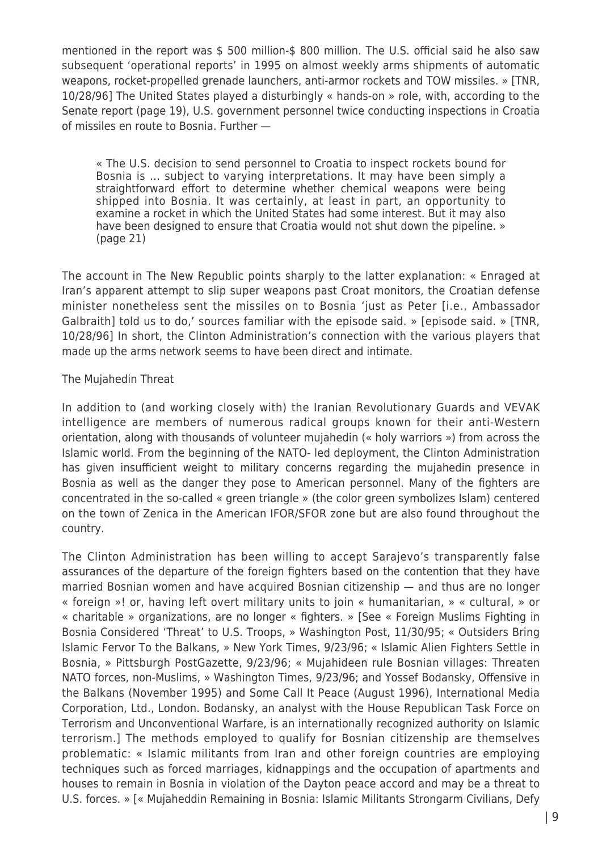mentioned in the report was \$ 500 million-\$ 800 million. The U.S. official said he also saw subsequent 'operational reports' in 1995 on almost weekly arms shipments of automatic weapons, rocket-propelled grenade launchers, anti-armor rockets and TOW missiles. » [TNR, 10/28/96] The United States played a disturbingly « hands-on » role, with, according to the Senate report (page 19), U.S. government personnel twice conducting inspections in Croatia of missiles en route to Bosnia. Further —

« The U.S. decision to send personnel to Croatia to inspect rockets bound for Bosnia is … subject to varying interpretations. It may have been simply a straightforward effort to determine whether chemical weapons were being shipped into Bosnia. It was certainly, at least in part, an opportunity to examine a rocket in which the United States had some interest. But it may also have been designed to ensure that Croatia would not shut down the pipeline. » (page 21)

The account in The New Republic points sharply to the latter explanation: « Enraged at Iran's apparent attempt to slip super weapons past Croat monitors, the Croatian defense minister nonetheless sent the missiles on to Bosnia 'just as Peter [i.e., Ambassador Galbraith] told us to do,' sources familiar with the episode said. » [episode said. » [TNR, 10/28/96] In short, the Clinton Administration's connection with the various players that made up the arms network seems to have been direct and intimate.

# The Mujahedin Threat

In addition to (and working closely with) the Iranian Revolutionary Guards and VEVAK intelligence are members of numerous radical groups known for their anti-Western orientation, along with thousands of volunteer mujahedin (« holy warriors ») from across the Islamic world. From the beginning of the NATO- led deployment, the Clinton Administration has given insufficient weight to military concerns regarding the mujahedin presence in Bosnia as well as the danger they pose to American personnel. Many of the fighters are concentrated in the so-called « green triangle » (the color green symbolizes Islam) centered on the town of Zenica in the American IFOR/SFOR zone but are also found throughout the country.

The Clinton Administration has been willing to accept Sarajevo's transparently false assurances of the departure of the foreign fighters based on the contention that they have married Bosnian women and have acquired Bosnian citizenship — and thus are no longer « foreign »! or, having left overt military units to join « humanitarian, » « cultural, » or « charitable » organizations, are no longer « fighters. » [See « Foreign Muslims Fighting in Bosnia Considered 'Threat' to U.S. Troops, » Washington Post, 11/30/95; « Outsiders Bring Islamic Fervor To the Balkans, » New York Times, 9/23/96; « Islamic Alien Fighters Settle in Bosnia, » Pittsburgh PostGazette, 9/23/96; « Mujahideen rule Bosnian villages: Threaten NATO forces, non-Muslims, » Washington Times, 9/23/96; and Yossef Bodansky, Offensive in the Balkans (November 1995) and Some Call It Peace (August 1996), International Media Corporation, Ltd., London. Bodansky, an analyst with the House Republican Task Force on Terrorism and Unconventional Warfare, is an internationally recognized authority on Islamic terrorism.] The methods employed to qualify for Bosnian citizenship are themselves problematic: « Islamic militants from Iran and other foreign countries are employing techniques such as forced marriages, kidnappings and the occupation of apartments and houses to remain in Bosnia in violation of the Dayton peace accord and may be a threat to U.S. forces. » [« Mujaheddin Remaining in Bosnia: Islamic Militants Strongarm Civilians, Defy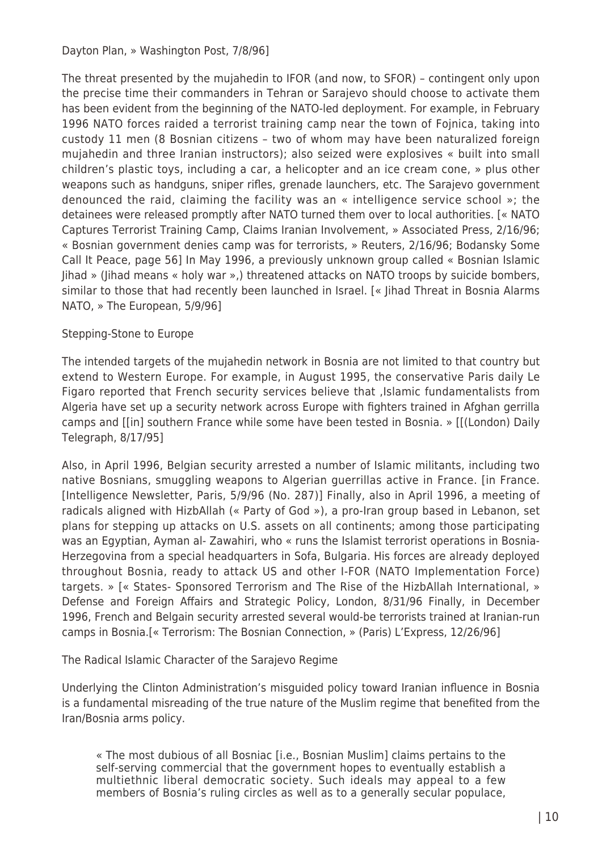The threat presented by the mujahedin to IFOR (and now, to SFOR) – contingent only upon the precise time their commanders in Tehran or Sarajevo should choose to activate them has been evident from the beginning of the NATO-led deployment. For example, in February 1996 NATO forces raided a terrorist training camp near the town of Fojnica, taking into custody 11 men (8 Bosnian citizens – two of whom may have been naturalized foreign mujahedin and three Iranian instructors); also seized were explosives « built into small children's plastic toys, including a car, a helicopter and an ice cream cone, » plus other weapons such as handguns, sniper rifles, grenade launchers, etc. The Sarajevo government denounced the raid, claiming the facility was an « intelligence service school »; the detainees were released promptly after NATO turned them over to local authorities. [« NATO Captures Terrorist Training Camp, Claims Iranian Involvement, » Associated Press, 2/16/96; « Bosnian government denies camp was for terrorists, » Reuters, 2/16/96; Bodansky Some Call It Peace, page 56] In May 1996, a previously unknown group called « Bosnian Islamic Jihad » (Jihad means « holy war »,) threatened attacks on NATO troops by suicide bombers, similar to those that had recently been launched in Israel. [« Jihad Threat in Bosnia Alarms NATO, » The European, 5/9/96]

# Stepping-Stone to Europe

The intended targets of the mujahedin network in Bosnia are not limited to that country but extend to Western Europe. For example, in August 1995, the conservative Paris daily Le Figaro reported that French security services believe that ,Islamic fundamentalists from Algeria have set up a security network across Europe with fighters trained in Afghan gerrilla camps and [[in] southern France while some have been tested in Bosnia. » [[(London) Daily Telegraph, 8/17/95]

Also, in April 1996, Belgian security arrested a number of Islamic militants, including two native Bosnians, smuggling weapons to Algerian guerrillas active in France. [in France. [Intelligence Newsletter, Paris, 5/9/96 (No. 287)] Finally, also in April 1996, a meeting of radicals aligned with HizbAllah (« Party of God »), a pro-Iran group based in Lebanon, set plans for stepping up attacks on U.S. assets on all continents; among those participating was an Egyptian, Ayman al- Zawahiri, who « runs the Islamist terrorist operations in Bosnia-Herzegovina from a special headquarters in Sofa, Bulgaria. His forces are already deployed throughout Bosnia, ready to attack US and other I-FOR (NATO Implementation Force) targets. » [« States- Sponsored Terrorism and The Rise of the HizbAllah International, » Defense and Foreign Affairs and Strategic Policy, London, 8/31/96 Finally, in December 1996, French and Belgain security arrested several would-be terrorists trained at Iranian-run camps in Bosnia.[« Terrorism: The Bosnian Connection, » (Paris) L'Express, 12/26/96]

The Radical Islamic Character of the Sarajevo Regime

Underlying the Clinton Administration's misguided policy toward Iranian influence in Bosnia is a fundamental misreading of the true nature of the Muslim regime that benefited from the Iran/Bosnia arms policy.

« The most dubious of all Bosniac [i.e., Bosnian Muslim] claims pertains to the self-serving commercial that the government hopes to eventually establish a multiethnic liberal democratic society. Such ideals may appeal to a few members of Bosnia's ruling circles as well as to a generally secular populace,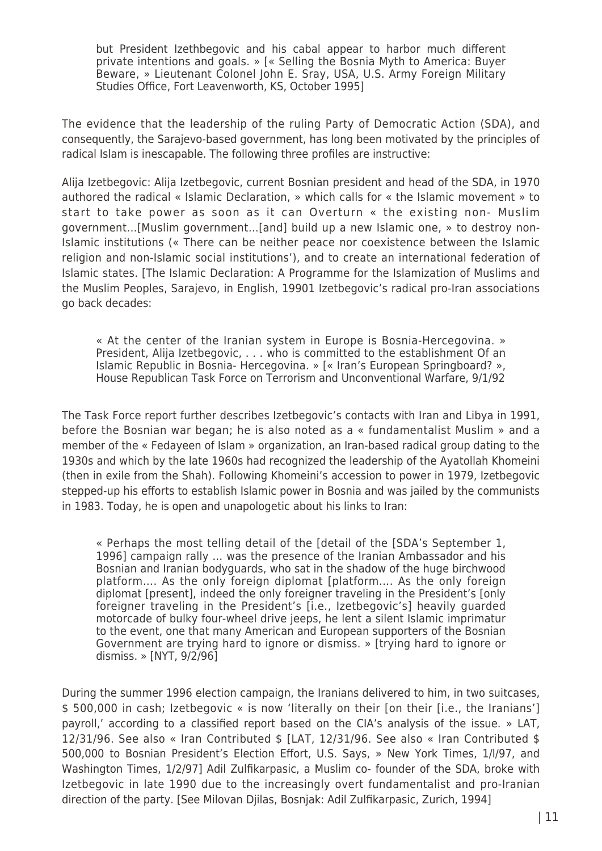but President Izethbegovic and his cabal appear to harbor much different private intentions and goals. » [« Selling the Bosnia Myth to America: Buyer Beware, » Lieutenant Colonel John E. Sray, USA, U.S. Army Foreign Military Studies Office, Fort Leavenworth, KS, October 1995]

The evidence that the leadership of the ruling Party of Democratic Action (SDA), and consequently, the Sarajevo-based government, has long been motivated by the principles of radical Islam is inescapable. The following three profiles are instructive:

Alija Izetbegovic: Alija Izetbegovic, current Bosnian president and head of the SDA, in 1970 authored the radical « Islamic Declaration, » which calls for « the Islamic movement » to start to take power as soon as it can Overturn « the existing non- Muslim government…[Muslim government…[and] build up a new Islamic one, » to destroy non-Islamic institutions (« There can be neither peace nor coexistence between the Islamic religion and non-Islamic social institutions'), and to create an international federation of Islamic states. [The Islamic Declaration: A Programme for the Islamization of Muslims and the Muslim Peoples, Sarajevo, in English, 19901 Izetbegovic's radical pro-Iran associations go back decades:

« At the center of the Iranian system in Europe is Bosnia-Hercegovina. » President, Alija Izetbegovic, . . . who is committed to the establishment Of an Islamic Republic in Bosnia- Hercegovina. » [« Iran's European Springboard? », House Republican Task Force on Terrorism and Unconventional Warfare, 9/1/92

The Task Force report further describes Izetbegovic's contacts with Iran and Libya in 1991, before the Bosnian war began; he is also noted as a « fundamentalist Muslim » and a member of the « Fedayeen of Islam » organization, an Iran-based radical group dating to the 1930s and which by the late 1960s had recognized the leadership of the Ayatollah Khomeini (then in exile from the Shah). Following Khomeini's accession to power in 1979, Izetbegovic stepped-up his efforts to establish Islamic power in Bosnia and was jailed by the communists in 1983. Today, he is open and unapologetic about his links to Iran:

« Perhaps the most telling detail of the [detail of the [SDA's September 1, 1996] campaign rally … was the presence of the Iranian Ambassador and his Bosnian and Iranian bodyguards, who sat in the shadow of the huge birchwood platform…. As the only foreign diplomat [platform…. As the only foreign diplomat [present], indeed the only foreigner traveling in the President's [only foreigner traveling in the President's [i.e., Izetbegovic's] heavily guarded motorcade of bulky four-wheel drive jeeps, he lent a silent Islamic imprimatur to the event, one that many American and European supporters of the Bosnian Government are trying hard to ignore or dismiss. » [trying hard to ignore or dismiss. » [NYT, 9/2/96]

During the summer 1996 election campaign, the Iranians delivered to him, in two suitcases, \$ 500,000 in cash; Izetbegovic « is now 'literally on their [on their [i.e., the Iranians'] payroll,' according to a classified report based on the CIA's analysis of the issue. » LAT, 12/31/96. See also « Iran Contributed \$ [LAT, 12/31/96. See also « Iran Contributed \$ 500,000 to Bosnian President's Election Effort, U.S. Says, » New York Times, 1/l/97, and Washington Times, 1/2/97] Adil Zulfikarpasic, a Muslim co- founder of the SDA, broke with Izetbegovic in late 1990 due to the increasingly overt fundamentalist and pro-Iranian direction of the party. [See Milovan Djilas, Bosnjak: Adil Zulfikarpasic, Zurich, 1994]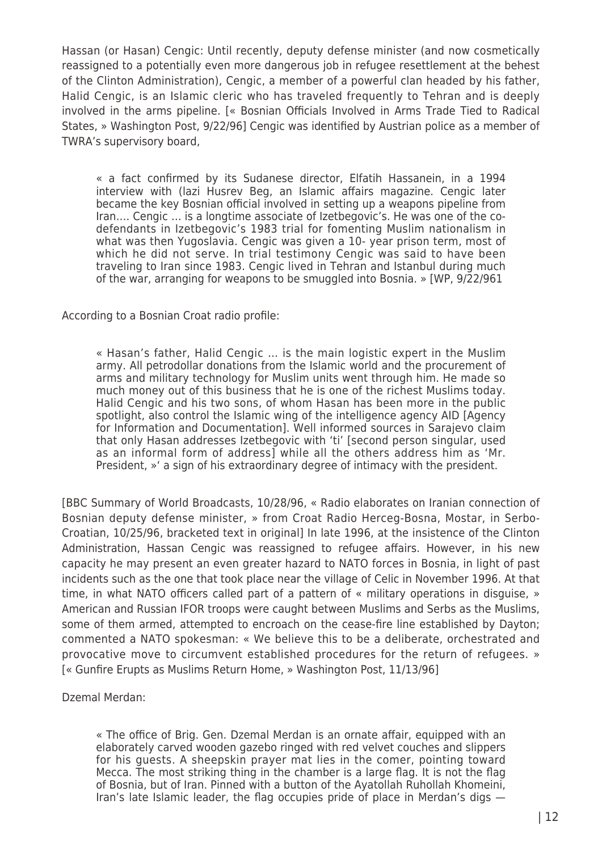Hassan (or Hasan) Cengic: Until recently, deputy defense minister (and now cosmetically reassigned to a potentially even more dangerous job in refugee resettlement at the behest of the Clinton Administration), Cengic, a member of a powerful clan headed by his father, Halid Cengic, is an Islamic cleric who has traveled frequently to Tehran and is deeply involved in the arms pipeline. [« Bosnian Officials Involved in Arms Trade Tied to Radical States, » Washington Post, 9/22/96] Cengic was identified by Austrian police as a member of TWRA's supervisory board,

« a fact confirmed by its Sudanese director, Elfatih Hassanein, in a 1994 interview with (lazi Husrev Beg, an Islamic affairs magazine. Cengic later became the key Bosnian official involved in setting up a weapons pipeline from Iran…. Cengic … is a longtime associate of Izetbegovic's. He was one of the codefendants in Izetbegovic's 1983 trial for fomenting Muslim nationalism in what was then Yugoslavia. Cengic was given a 10- year prison term, most of which he did not serve. In trial testimony Cengic was said to have been traveling to Iran since 1983. Cengic lived in Tehran and Istanbul during much of the war, arranging for weapons to be smuggled into Bosnia. » [WP, 9/22/961

According to a Bosnian Croat radio profile:

« Hasan's father, Halid Cengic … is the main logistic expert in the Muslim army. All petrodollar donations from the Islamic world and the procurement of arms and military technology for Muslim units went through him. He made so much money out of this business that he is one of the richest Muslims today. Halid Cengic and his two sons, of whom Hasan has been more in the public spotlight, also control the Islamic wing of the intelligence agency AID [Agency for Information and Documentation]. Well informed sources in Sarajevo claim that only Hasan addresses Izetbegovic with 'ti' [second person singular, used as an informal form of address] while all the others address him as 'Mr. President, »' a sign of his extraordinary degree of intimacy with the president.

[BBC Summary of World Broadcasts, 10/28/96, « Radio elaborates on Iranian connection of Bosnian deputy defense minister, » from Croat Radio Herceg-Bosna, Mostar, in Serbo-Croatian, 10/25/96, bracketed text in original] In late 1996, at the insistence of the Clinton Administration, Hassan Cengic was reassigned to refugee affairs. However, in his new capacity he may present an even greater hazard to NATO forces in Bosnia, in light of past incidents such as the one that took place near the village of Celic in November 1996. At that time, in what NATO officers called part of a pattern of « military operations in disguise, » American and Russian IFOR troops were caught between Muslims and Serbs as the Muslims, some of them armed, attempted to encroach on the cease-fire line established by Dayton; commented a NATO spokesman: « We believe this to be a deliberate, orchestrated and provocative move to circumvent established procedures for the return of refugees. » [« Gunfire Erupts as Muslims Return Home, » Washington Post, 11/13/96]

Dzemal Merdan:

« The office of Brig. Gen. Dzemal Merdan is an ornate affair, equipped with an elaborately carved wooden gazebo ringed with red velvet couches and slippers for his guests. A sheepskin prayer mat lies in the comer, pointing toward Mecca. The most striking thing in the chamber is a large flag. It is not the flag of Bosnia, but of Iran. Pinned with a button of the Ayatollah Ruhollah Khomeini, Iran's late Islamic leader, the flag occupies pride of place in Merdan's digs —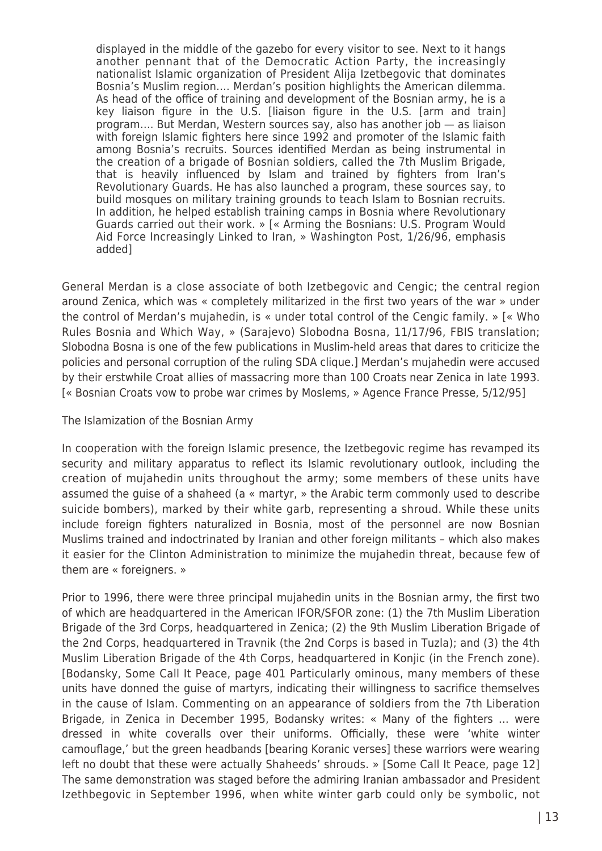displayed in the middle of the gazebo for every visitor to see. Next to it hangs another pennant that of the Democratic Action Party, the increasingly nationalist Islamic organization of President Alija Izetbegovic that dominates Bosnia's Muslim region…. Merdan's position highlights the American dilemma. As head of the office of training and development of the Bosnian army, he is a key liaison figure in the U.S. [liaison figure in the U.S. [arm and train] program…. But Merdan, Western sources say, also has another job — as liaison with foreign Islamic fighters here since 1992 and promoter of the Islamic faith among Bosnia's recruits. Sources identified Merdan as being instrumental in the creation of a brigade of Bosnian soldiers, called the 7th Muslim Brigade, that is heavily influenced by Islam and trained by fighters from Iran's Revolutionary Guards. He has also launched a program, these sources say, to build mosques on military training grounds to teach Islam to Bosnian recruits. In addition, he helped establish training camps in Bosnia where Revolutionary Guards carried out their work. » [« Arming the Bosnians: U.S. Program Would Aid Force Increasingly Linked to Iran, » Washington Post, 1/26/96, emphasis added]

General Merdan is a close associate of both Izetbegovic and Cengic; the central region around Zenica, which was « completely militarized in the first two years of the war » under the control of Merdan's mujahedin, is « under total control of the Cengic family. » [« Who Rules Bosnia and Which Way, » (Sarajevo) Slobodna Bosna, 11/17/96, FBIS translation; Slobodna Bosna is one of the few publications in Muslim-held areas that dares to criticize the policies and personal corruption of the ruling SDA clique.] Merdan's mujahedin were accused by their erstwhile Croat allies of massacring more than 100 Croats near Zenica in late 1993. [« Bosnian Croats vow to probe war crimes by Moslems, » Agence France Presse, 5/12/95]

The Islamization of the Bosnian Army

In cooperation with the foreign Islamic presence, the Izetbegovic regime has revamped its security and military apparatus to reflect its Islamic revolutionary outlook, including the creation of mujahedin units throughout the army; some members of these units have assumed the guise of a shaheed (a « martyr, » the Arabic term commonly used to describe suicide bombers), marked by their white garb, representing a shroud. While these units include foreign fighters naturalized in Bosnia, most of the personnel are now Bosnian Muslims trained and indoctrinated by Iranian and other foreign militants – which also makes it easier for the Clinton Administration to minimize the mujahedin threat, because few of them are « foreigners. »

Prior to 1996, there were three principal mujahedin units in the Bosnian army, the first two of which are headquartered in the American IFOR/SFOR zone: (1) the 7th Muslim Liberation Brigade of the 3rd Corps, headquartered in Zenica; (2) the 9th Muslim Liberation Brigade of the 2nd Corps, headquartered in Travnik (the 2nd Corps is based in Tuzla); and (3) the 4th Muslim Liberation Brigade of the 4th Corps, headquartered in Konjic (in the French zone). [Bodansky, Some Call It Peace, page 401 Particularly ominous, many members of these units have donned the guise of martyrs, indicating their willingness to sacrifice themselves in the cause of Islam. Commenting on an appearance of soldiers from the 7th Liberation Brigade, in Zenica in December 1995, Bodansky writes: « Many of the fighters … were dressed in white coveralls over their uniforms. Officially, these were 'white winter camouflage,' but the green headbands [bearing Koranic verses] these warriors were wearing left no doubt that these were actually Shaheeds' shrouds. » [Some Call It Peace, page 12] The same demonstration was staged before the admiring Iranian ambassador and President Izethbegovic in September 1996, when white winter garb could only be symbolic, not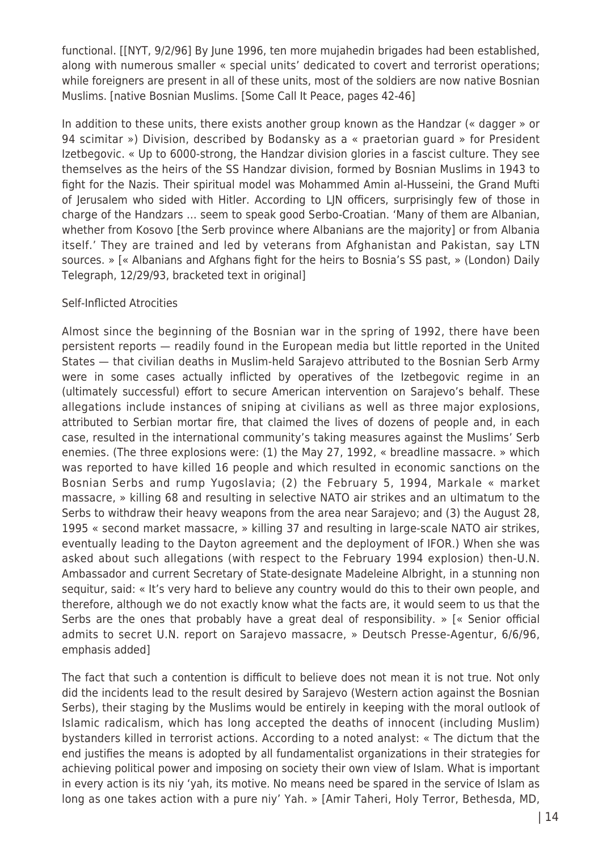functional. [[NYT, 9/2/96] By June 1996, ten more mujahedin brigades had been established, along with numerous smaller « special units' dedicated to covert and terrorist operations; while foreigners are present in all of these units, most of the soldiers are now native Bosnian Muslims. [native Bosnian Muslims. [Some Call It Peace, pages 42-46]

In addition to these units, there exists another group known as the Handzar (« dagger » or 94 scimitar ») Division, described by Bodansky as a « praetorian guard » for President Izetbegovic. « Up to 6000-strong, the Handzar division glories in a fascist culture. They see themselves as the heirs of the SS Handzar division, formed by Bosnian Muslims in 1943 to fight for the Nazis. Their spiritual model was Mohammed Amin al-Husseini, the Grand Mufti of Jerusalem who sided with Hitler. According to LJN officers, surprisingly few of those in charge of the Handzars … seem to speak good Serbo-Croatian. 'Many of them are Albanian, whether from Kosovo [the Serb province where Albanians are the majority] or from Albania itself.' They are trained and led by veterans from Afghanistan and Pakistan, say LTN sources. » [« Albanians and Afghans fight for the heirs to Bosnia's SS past, » (London) Daily Telegraph, 12/29/93, bracketed text in original]

# Self-Inflicted Atrocities

Almost since the beginning of the Bosnian war in the spring of 1992, there have been persistent reports — readily found in the European media but little reported in the United States — that civilian deaths in Muslim-held Sarajevo attributed to the Bosnian Serb Army were in some cases actually inflicted by operatives of the Izetbegovic regime in an (ultimately successful) effort to secure American intervention on Sarajevo's behalf. These allegations include instances of sniping at civilians as well as three major explosions, attributed to Serbian mortar fire, that claimed the lives of dozens of people and, in each case, resulted in the international community's taking measures against the Muslims' Serb enemies. (The three explosions were: (1) the May 27, 1992, « breadline massacre. » which was reported to have killed 16 people and which resulted in economic sanctions on the Bosnian Serbs and rump Yugoslavia; (2) the February 5, 1994, Markale « market massacre, » killing 68 and resulting in selective NATO air strikes and an ultimatum to the Serbs to withdraw their heavy weapons from the area near Sarajevo; and (3) the August 28, 1995 « second market massacre, » killing 37 and resulting in large-scale NATO air strikes, eventually leading to the Dayton agreement and the deployment of IFOR.) When she was asked about such allegations (with respect to the February 1994 explosion) then-U.N. Ambassador and current Secretary of State-designate Madeleine Albright, in a stunning non sequitur, said: « It's very hard to believe any country would do this to their own people, and therefore, although we do not exactly know what the facts are, it would seem to us that the Serbs are the ones that probably have a great deal of responsibility. » [« Senior official admits to secret U.N. report on Sarajevo massacre, » Deutsch Presse-Agentur, 6/6/96, emphasis added]

The fact that such a contention is difficult to believe does not mean it is not true. Not only did the incidents lead to the result desired by Sarajevo (Western action against the Bosnian Serbs), their staging by the Muslims would be entirely in keeping with the moral outlook of Islamic radicalism, which has long accepted the deaths of innocent (including Muslim) bystanders killed in terrorist actions. According to a noted analyst: « The dictum that the end justifies the means is adopted by all fundamentalist organizations in their strategies for achieving political power and imposing on society their own view of Islam. What is important in every action is its niy 'yah, its motive. No means need be spared in the service of Islam as long as one takes action with a pure niy' Yah. » [Amir Taheri, Holy Terror, Bethesda, MD,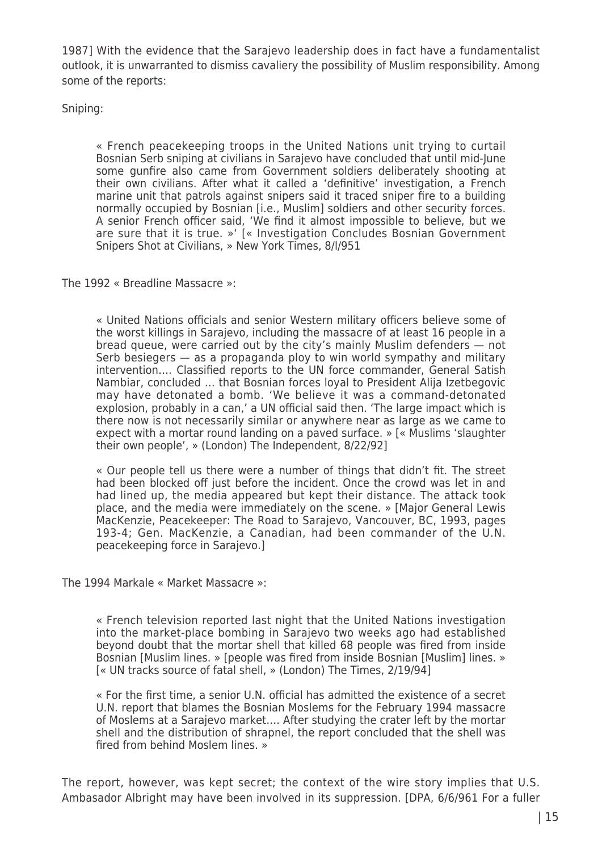1987] With the evidence that the Sarajevo leadership does in fact have a fundamentalist outlook, it is unwarranted to dismiss cavaliery the possibility of Muslim responsibility. Among some of the reports:

Sniping:

« French peacekeeping troops in the United Nations unit trying to curtail Bosnian Serb sniping at civilians in Sarajevo have concluded that until mid-June some gunfire also came from Government soldiers deliberately shooting at their own civilians. After what it called a 'definitive' investigation, a French marine unit that patrols against snipers said it traced sniper fire to a building normally occupied by Bosnian [i.e., Muslim] soldiers and other security forces. A senior French officer said, 'We find it almost impossible to believe, but we are sure that it is true. »' [« Investigation Concludes Bosnian Government Snipers Shot at Civilians, » New York Times, 8/l/951

The 1992 « Breadline Massacre »:

« United Nations officials and senior Western military officers believe some of the worst killings in Sarajevo, including the massacre of at least 16 people in a bread queue, were carried out by the city's mainly Muslim defenders — not Serb besiegers — as a propaganda ploy to win world sympathy and military intervention…. Classified reports to the UN force commander, General Satish Nambiar, concluded … that Bosnian forces loyal to President Alija Izetbegovic may have detonated a bomb. 'We believe it was a command-detonated explosion, probably in a can,' a UN official said then. 'The large impact which is there now is not necessarily similar or anywhere near as large as we came to expect with a mortar round landing on a paved surface. » [« Muslims 'slaughter their own people', » (London) The Independent, 8/22/92]

« Our people tell us there were a number of things that didn't fit. The street had been blocked off just before the incident. Once the crowd was let in and had lined up, the media appeared but kept their distance. The attack took place, and the media were immediately on the scene. » [Major General Lewis MacKenzie, Peacekeeper: The Road to Sarajevo, Vancouver, BC, 1993, pages 193-4; Gen. MacKenzie, a Canadian, had been commander of the U.N. peacekeeping force in Sarajevo.]

The 1994 Markale « Market Massacre »:

« French television reported last night that the United Nations investigation into the market-place bombing in Sarajevo two weeks ago had established beyond doubt that the mortar shell that killed 68 people was fired from inside Bosnian [Muslim lines. » [people was fired from inside Bosnian [Muslim] lines. » [« UN tracks source of fatal shell, » (London) The Times, 2/19/94]

« For the first time, a senior U.N. official has admitted the existence of a secret U.N. report that blames the Bosnian Moslems for the February 1994 massacre of Moslems at a Sarajevo market…. After studying the crater left by the mortar shell and the distribution of shrapnel, the report concluded that the shell was fired from behind Moslem lines. »

The report, however, was kept secret; the context of the wire story implies that U.S. Ambasador Albright may have been involved in its suppression. [DPA, 6/6/961 For a fuller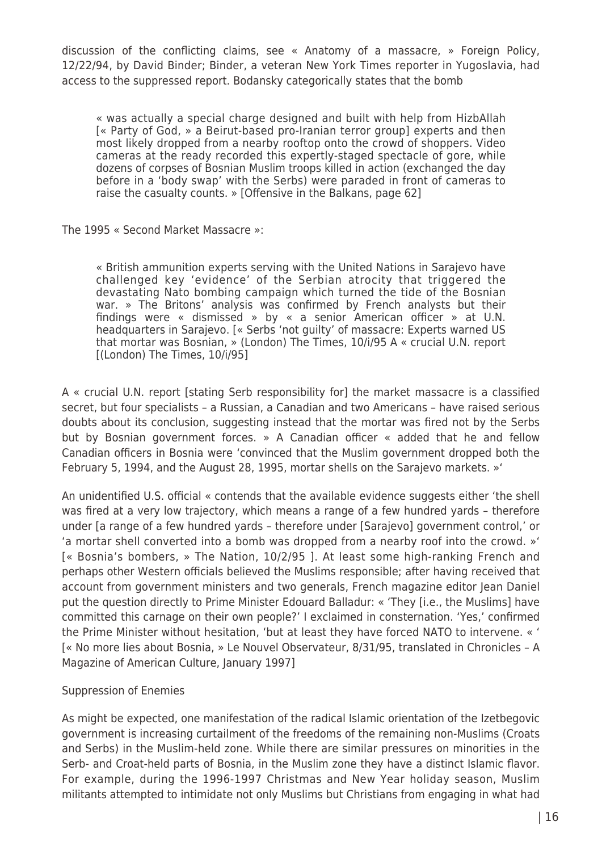discussion of the conflicting claims, see « Anatomy of a massacre, » Foreign Policy, 12/22/94, by David Binder; Binder, a veteran New York Times reporter in Yugoslavia, had access to the suppressed report. Bodansky categorically states that the bomb

« was actually a special charge designed and built with help from HizbAllah [« Party of God, » a Beirut-based pro-Iranian terror group] experts and then most likely dropped from a nearby rooftop onto the crowd of shoppers. Video cameras at the ready recorded this expertly-staged spectacle of gore, while dozens of corpses of Bosnian Muslim troops killed in action (exchanged the day before in a 'body swap' with the Serbs) were paraded in front of cameras to raise the casualty counts. » [Offensive in the Balkans, page 62]

The 1995 « Second Market Massacre »:

« British ammunition experts serving with the United Nations in Sarajevo have challenged key 'evidence' of the Serbian atrocity that triggered the devastating Nato bombing campaign which turned the tide of the Bosnian war. » The Britons' analysis was confirmed by French analysts but their findings were « dismissed » by « a senior American officer » at U.N. headquarters in Sarajevo. [« Serbs 'not guilty' of massacre: Experts warned US that mortar was Bosnian, » (London) The Times, 10/i/95 A « crucial U.N. report [(London) The Times, 10/i/95]

A « crucial U.N. report [stating Serb responsibility for] the market massacre is a classified secret, but four specialists – a Russian, a Canadian and two Americans – have raised serious doubts about its conclusion, suggesting instead that the mortar was fired not by the Serbs but by Bosnian government forces. » A Canadian officer « added that he and fellow Canadian officers in Bosnia were 'convinced that the Muslim government dropped both the February 5, 1994, and the August 28, 1995, mortar shells on the Sarajevo markets. »'

An unidentified U.S. official « contends that the available evidence suggests either 'the shell was fired at a very low trajectory, which means a range of a few hundred yards – therefore under [a range of a few hundred yards – therefore under [Sarajevo] government control,' or 'a mortar shell converted into a bomb was dropped from a nearby roof into the crowd. »' [« Bosnia's bombers, » The Nation, 10/2/95 ]. At least some high-ranking French and perhaps other Western officials believed the Muslims responsible; after having received that account from government ministers and two generals, French magazine editor Jean Daniel put the question directly to Prime Minister Edouard Balladur: « 'They [i.e., the Muslims] have committed this carnage on their own people?' I exclaimed in consternation. 'Yes,' confirmed the Prime Minister without hesitation, 'but at least they have forced NATO to intervene. « ' [« No more lies about Bosnia, » Le Nouvel Observateur, 8/31/95, translated in Chronicles – A Magazine of American Culture, January 1997]

# Suppression of Enemies

As might be expected, one manifestation of the radical Islamic orientation of the Izetbegovic government is increasing curtailment of the freedoms of the remaining non-Muslims (Croats and Serbs) in the Muslim-held zone. While there are similar pressures on minorities in the Serb- and Croat-held parts of Bosnia, in the Muslim zone they have a distinct Islamic flavor. For example, during the 1996-1997 Christmas and New Year holiday season, Muslim militants attempted to intimidate not only Muslims but Christians from engaging in what had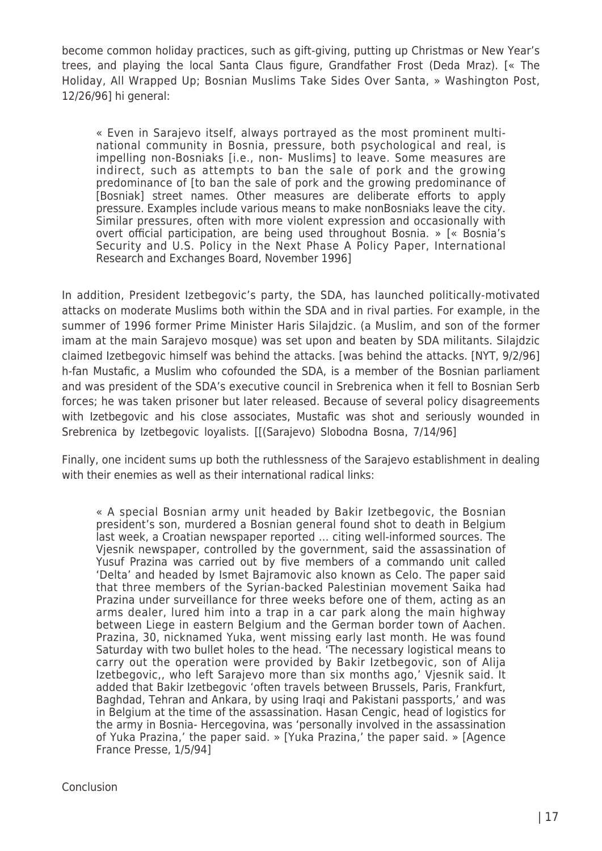become common holiday practices, such as gift-giving, putting up Christmas or New Year's trees, and playing the local Santa Claus figure, Grandfather Frost (Deda Mraz). [« The Holiday, All Wrapped Up; Bosnian Muslims Take Sides Over Santa, » Washington Post, 12/26/96] hi general:

« Even in Sarajevo itself, always portrayed as the most prominent multinational community in Bosnia, pressure, both psychological and real, is impelling non-Bosniaks [i.e., non- Muslims] to leave. Some measures are indirect, such as attempts to ban the sale of pork and the growing predominance of [to ban the sale of pork and the growing predominance of [Bosniak] street names. Other measures are deliberate efforts to apply pressure. Examples include various means to make nonBosniaks leave the city. Similar pressures, often with more violent expression and occasionally with overt official participation, are being used throughout Bosnia. » [« Bosnia's Security and U.S. Policy in the Next Phase A Policy Paper, International Research and Exchanges Board, November 1996]

In addition, President Izetbegovic's party, the SDA, has launched politically-motivated attacks on moderate Muslims both within the SDA and in rival parties. For example, in the summer of 1996 former Prime Minister Haris Silajdzic. (a Muslim, and son of the former imam at the main Sarajevo mosque) was set upon and beaten by SDA militants. Silajdzic claimed Izetbegovic himself was behind the attacks. [was behind the attacks. [NYT, 9/2/96] h-fan Mustafic, a Muslim who cofounded the SDA, is a member of the Bosnian parliament and was president of the SDA's executive council in Srebrenica when it fell to Bosnian Serb forces; he was taken prisoner but later released. Because of several policy disagreements with Izetbegovic and his close associates, Mustafic was shot and seriously wounded in Srebrenica by Izetbegovic loyalists. [[(Sarajevo) Slobodna Bosna, 7/14/96]

Finally, one incident sums up both the ruthlessness of the Sarajevo establishment in dealing with their enemies as well as their international radical links:

« A special Bosnian army unit headed by Bakir Izetbegovic, the Bosnian president's son, murdered a Bosnian general found shot to death in Belgium last week, a Croatian newspaper reported … citing well-informed sources. The Vjesnik newspaper, controlled by the government, said the assassination of Yusuf Prazina was carried out by five members of a commando unit called 'Delta' and headed by Ismet Bajramovic also known as Celo. The paper said that three members of the Syrian-backed Palestinian movement Saika had Prazina under surveillance for three weeks before one of them, acting as an arms dealer, lured him into a trap in a car park along the main highway between Liege in eastern Belgium and the German border town of Aachen. Prazina, 30, nicknamed Yuka, went missing early last month. He was found Saturday with two bullet holes to the head. 'The necessary logistical means to carry out the operation were provided by Bakir Izetbegovic, son of Alija Izetbegovic,, who left Sarajevo more than six months ago,' Vjesnik said. It added that Bakir Izetbegovic 'often travels between Brussels, Paris, Frankfurt, Baghdad, Tehran and Ankara, by using Iraqi and Pakistani passports,' and was in Belgium at the time of the assassination. Hasan Cengic, head of logistics for the army in Bosnia- Hercegovina, was 'personally involved in the assassination of Yuka Prazina,' the paper said. » [Yuka Prazina,' the paper said. » [Agence France Presse, 1/5/94]

**Conclusion**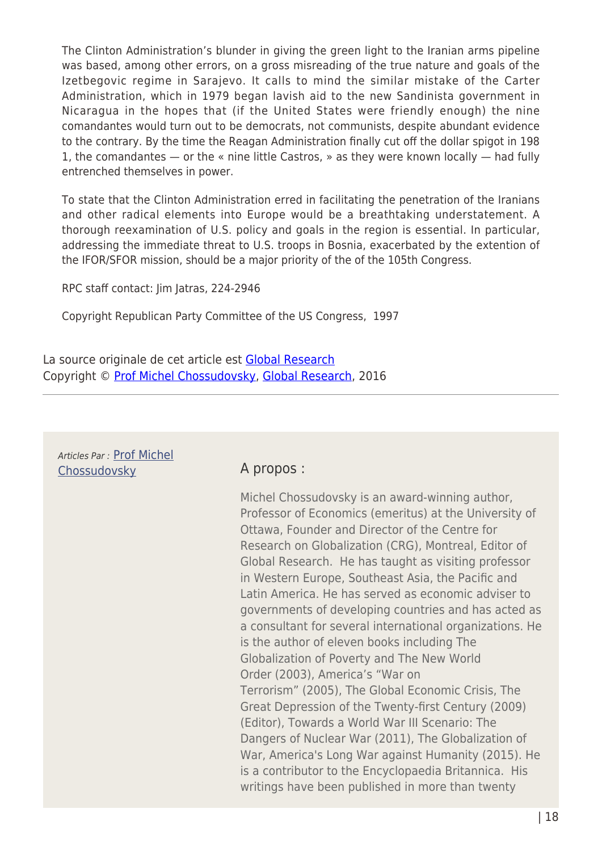The Clinton Administration's blunder in giving the green light to the Iranian arms pipeline was based, among other errors, on a gross misreading of the true nature and goals of the Izetbegovic regime in Sarajevo. It calls to mind the similar mistake of the Carter Administration, which in 1979 began lavish aid to the new Sandinista government in Nicaragua in the hopes that (if the United States were friendly enough) the nine comandantes would turn out to be democrats, not communists, despite abundant evidence to the contrary. By the time the Reagan Administration finally cut off the dollar spigot in 198 1, the comandantes — or the « nine little Castros, » as they were known locally — had fully entrenched themselves in power.

To state that the Clinton Administration erred in facilitating the penetration of the Iranians and other radical elements into Europe would be a breathtaking understatement. A thorough reexamination of U.S. policy and goals in the region is essential. In particular, addressing the immediate threat to U.S. troops in Bosnia, exacerbated by the extention of the IFOR/SFOR mission, should be a major priority of the of the 105th Congress.

RPC staff contact: Jim Jatras, 224-2946

Copyright Republican Party Committee of the US Congress, 1997

La source originale de cet article est [Global Research](http://globalresearch.ca/articles/DCH109A.html) Copyright © [Prof Michel Chossudovsky](https://www.mondialisation.ca/author/michel-chossudovsky), [Global Research](http://globalresearch.ca/articles/DCH109A.html), 2016

#### Articles Par : [Prof Michel](https://www.mondialisation.ca/author/michel-chossudovsky) [Chossudovsky](https://www.mondialisation.ca/author/michel-chossudovsky) **A propos :**

Michel Chossudovsky is an award-winning author, Professor of Economics (emeritus) at the University of Ottawa, Founder and Director of the Centre for Research on Globalization (CRG), Montreal, Editor of Global Research. He has taught as visiting professor in Western Europe, Southeast Asia, the Pacific and Latin America. He has served as economic adviser to governments of developing countries and has acted as a consultant for several international organizations. He is the author of eleven books including The Globalization of Poverty and The New World Order (2003), America's "War on Terrorism" (2005), The Global Economic Crisis, The Great Depression of the Twenty-first Century (2009) (Editor), Towards a World War III Scenario: The Dangers of Nuclear War (2011), The Globalization of War, America's Long War against Humanity (2015). He is a contributor to the Encyclopaedia Britannica. His writings have been published in more than twenty